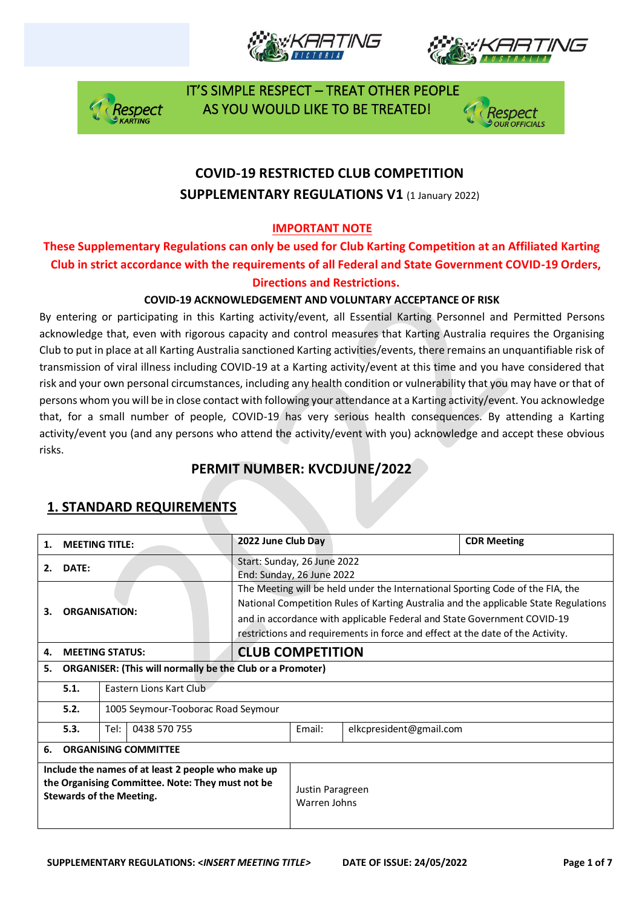







## **COVID-19 RESTRICTED CLUB COMPETITION SUPPLEMENTARY REGULATIONS V1 (1 January 2022)**

#### **IMPORTANT NOTE**

#### **These Supplementary Regulations can only be used for Club Karting Competition at an Affiliated Karting Club in strict accordance with the requirements of all Federal and State Government COVID-19 Orders, Directions and Restrictions.**

#### **COVID-19 ACKNOWLEDGEMENT AND VOLUNTARY ACCEPTANCE OF RISK**

By entering or participating in this Karting activity/event, all Essential Karting Personnel and Permitted Persons acknowledge that, even with rigorous capacity and control measures that Karting Australia requires the Organising Club to put in place at all Karting Australia sanctioned Karting activities/events, there remains an unquantifiable risk of transmission of viral illness including COVID-19 at a Karting activity/event at this time and you have considered that risk and your own personal circumstances, including any health condition or vulnerability that you may have or that of persons whom you will be in close contact with following your attendance at a Karting activity/event. You acknowledge that, for a small number of people, COVID-19 has very serious health consequences. By attending a Karting activity/event you (and any persons who attend the activity/event with you) acknowledge and accept these obvious risks.

## **PERMIT NUMBER: KVCDJUNE/2022**

| 1.                                                                                                                                        | <b>MEETING TITLE:</b>       |                                    |                                  | 2022 June Club Day                                                                                                                                                                                                                                                                                                                  |        |                         | <b>CDR Meeting</b> |  |
|-------------------------------------------------------------------------------------------------------------------------------------------|-----------------------------|------------------------------------|----------------------------------|-------------------------------------------------------------------------------------------------------------------------------------------------------------------------------------------------------------------------------------------------------------------------------------------------------------------------------------|--------|-------------------------|--------------------|--|
| DATE:<br>2.                                                                                                                               |                             |                                    |                                  | Start: Sunday, 26 June 2022<br>End: Sunday, 26 June 2022                                                                                                                                                                                                                                                                            |        |                         |                    |  |
| <b>ORGANISATION:</b><br>з.                                                                                                                |                             |                                    |                                  | The Meeting will be held under the International Sporting Code of the FIA, the<br>National Competition Rules of Karting Australia and the applicable State Regulations<br>and in accordance with applicable Federal and State Government COVID-19<br>restrictions and requirements in force and effect at the date of the Activity. |        |                         |                    |  |
| 4.                                                                                                                                        |                             | <b>MEETING STATUS:</b>             |                                  | <b>CLUB COMPETITION</b>                                                                                                                                                                                                                                                                                                             |        |                         |                    |  |
| <b>ORGANISER: (This will normally be the Club or a Promoter)</b><br>5.                                                                    |                             |                                    |                                  |                                                                                                                                                                                                                                                                                                                                     |        |                         |                    |  |
|                                                                                                                                           | 5.1.                        | Eastern Lions Kart Club            |                                  |                                                                                                                                                                                                                                                                                                                                     |        |                         |                    |  |
|                                                                                                                                           | 5.2.                        | 1005 Seymour-Tooborac Road Seymour |                                  |                                                                                                                                                                                                                                                                                                                                     |        |                         |                    |  |
|                                                                                                                                           | 5.3.                        | 0438 570 755<br>Tel:               |                                  |                                                                                                                                                                                                                                                                                                                                     | Email: | elkcpresident@gmail.com |                    |  |
| 6.                                                                                                                                        | <b>ORGANISING COMMITTEE</b> |                                    |                                  |                                                                                                                                                                                                                                                                                                                                     |        |                         |                    |  |
| Include the names of at least 2 people who make up<br>the Organising Committee. Note: They must not be<br><b>Stewards of the Meeting.</b> |                             |                                    | Justin Paragreen<br>Warren Johns |                                                                                                                                                                                                                                                                                                                                     |        |                         |                    |  |

## **1. STANDARD REQUIREMENTS**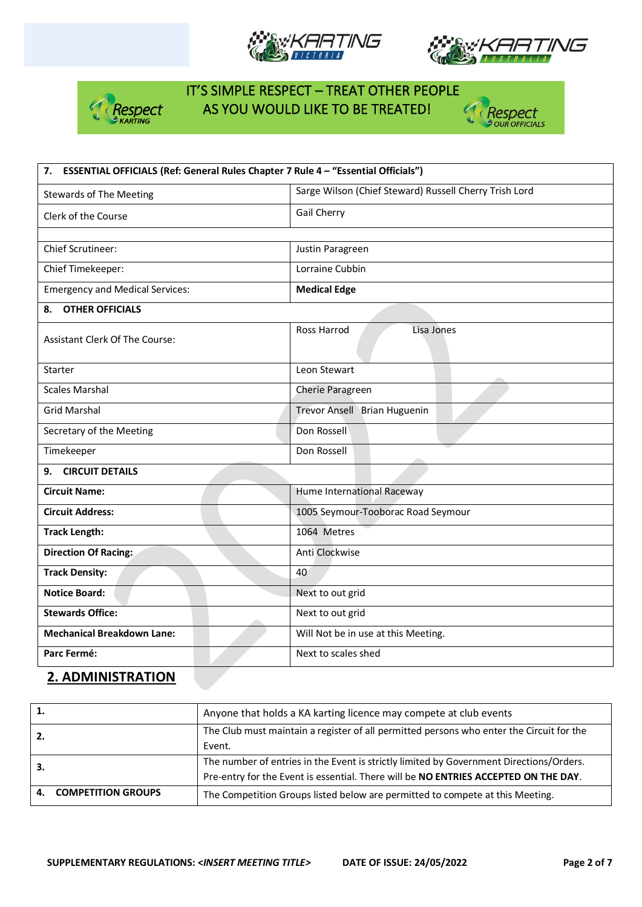







| 7. ESSENTIAL OFFICIALS (Ref: General Rules Chapter 7 Rule 4 - "Essential Officials") |                                                        |  |  |  |
|--------------------------------------------------------------------------------------|--------------------------------------------------------|--|--|--|
| <b>Stewards of The Meeting</b>                                                       | Sarge Wilson (Chief Steward) Russell Cherry Trish Lord |  |  |  |
| Clerk of the Course                                                                  | Gail Cherry                                            |  |  |  |
|                                                                                      |                                                        |  |  |  |
| <b>Chief Scrutineer:</b>                                                             | Justin Paragreen                                       |  |  |  |
| Chief Timekeeper:                                                                    | Lorraine Cubbin                                        |  |  |  |
| <b>Emergency and Medical Services:</b>                                               | <b>Medical Edge</b>                                    |  |  |  |
| <b>OTHER OFFICIALS</b><br>8.                                                         |                                                        |  |  |  |
| <b>Assistant Clerk Of The Course:</b>                                                | Ross Harrod<br>Lisa Jones                              |  |  |  |
| Starter                                                                              | Leon Stewart                                           |  |  |  |
| <b>Scales Marshal</b>                                                                | Cherie Paragreen                                       |  |  |  |
| <b>Grid Marshal</b>                                                                  | Trevor Ansell Brian Huguenin                           |  |  |  |
| Secretary of the Meeting                                                             | Don Rossell                                            |  |  |  |
| Timekeeper                                                                           | Don Rossell                                            |  |  |  |
| <b>CIRCUIT DETAILS</b><br>9.                                                         |                                                        |  |  |  |
| <b>Circuit Name:</b>                                                                 | Hume International Raceway                             |  |  |  |
| <b>Circuit Address:</b>                                                              | 1005 Seymour-Tooborac Road Seymour                     |  |  |  |
| <b>Track Length:</b>                                                                 | 1064 Metres                                            |  |  |  |
| Direction Of Racing:                                                                 | Anti Clockwise                                         |  |  |  |
| <b>Track Density:</b>                                                                | 40                                                     |  |  |  |
| <b>Notice Board:</b>                                                                 | Next to out grid                                       |  |  |  |
| <b>Stewards Office:</b>                                                              | Next to out grid                                       |  |  |  |
| <b>Mechanical Breakdown Lane:</b>                                                    | Will Not be in use at this Meeting.                    |  |  |  |
| Parc Fermé:                                                                          | Next to scales shed                                    |  |  |  |

### **2. ADMINISTRATION**

| 1. |                           | Anyone that holds a KA karting licence may compete at club events                        |  |  |  |  |
|----|---------------------------|------------------------------------------------------------------------------------------|--|--|--|--|
| 2. |                           | The Club must maintain a register of all permitted persons who enter the Circuit for the |  |  |  |  |
|    |                           | Event.                                                                                   |  |  |  |  |
|    |                           | The number of entries in the Event is strictly limited by Government Directions/Orders.  |  |  |  |  |
|    |                           | Pre-entry for the Event is essential. There will be NO ENTRIES ACCEPTED ON THE DAY.      |  |  |  |  |
| 4. | <b>COMPETITION GROUPS</b> | The Competition Groups listed below are permitted to compete at this Meeting.            |  |  |  |  |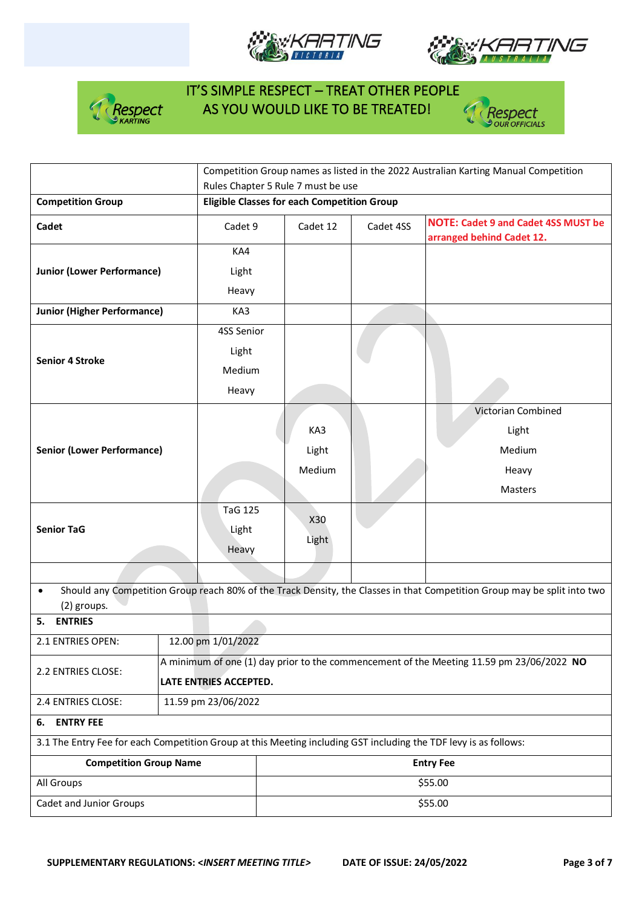







|                                                                                                                  |                    | Competition Group names as listed in the 2022 Australian Karting Manual Competition      |                  |           |                                                                                                                          |  |  |  |
|------------------------------------------------------------------------------------------------------------------|--------------------|------------------------------------------------------------------------------------------|------------------|-----------|--------------------------------------------------------------------------------------------------------------------------|--|--|--|
|                                                                                                                  |                    | Rules Chapter 5 Rule 7 must be use                                                       |                  |           |                                                                                                                          |  |  |  |
| <b>Competition Group</b>                                                                                         |                    | <b>Eligible Classes for each Competition Group</b>                                       |                  |           |                                                                                                                          |  |  |  |
| Cadet                                                                                                            |                    | Cadet 9                                                                                  | Cadet 12         | Cadet 4SS | <b>NOTE: Cadet 9 and Cadet 4SS MUST be</b><br>arranged behind Cadet 12.                                                  |  |  |  |
|                                                                                                                  |                    | KA4                                                                                      |                  |           |                                                                                                                          |  |  |  |
| <b>Junior (Lower Performance)</b>                                                                                |                    | Light                                                                                    |                  |           |                                                                                                                          |  |  |  |
|                                                                                                                  |                    | Heavy                                                                                    |                  |           |                                                                                                                          |  |  |  |
| <b>Junior (Higher Performance)</b>                                                                               |                    | KA3                                                                                      |                  |           |                                                                                                                          |  |  |  |
|                                                                                                                  |                    | 4SS Senior                                                                               |                  |           |                                                                                                                          |  |  |  |
| <b>Senior 4 Stroke</b>                                                                                           |                    | Light                                                                                    |                  |           |                                                                                                                          |  |  |  |
|                                                                                                                  |                    | Medium                                                                                   |                  |           |                                                                                                                          |  |  |  |
|                                                                                                                  |                    | Heavy                                                                                    |                  |           |                                                                                                                          |  |  |  |
|                                                                                                                  |                    |                                                                                          |                  |           | Victorian Combined                                                                                                       |  |  |  |
|                                                                                                                  |                    |                                                                                          | KA3              |           | Light                                                                                                                    |  |  |  |
| <b>Senior (Lower Performance)</b>                                                                                |                    |                                                                                          | Light            |           | Medium                                                                                                                   |  |  |  |
|                                                                                                                  |                    |                                                                                          | Medium           |           | Heavy                                                                                                                    |  |  |  |
|                                                                                                                  |                    |                                                                                          |                  |           | Masters                                                                                                                  |  |  |  |
|                                                                                                                  |                    | <b>TaG 125</b>                                                                           |                  |           |                                                                                                                          |  |  |  |
| <b>Senior TaG</b>                                                                                                |                    | Light                                                                                    | X30              |           |                                                                                                                          |  |  |  |
|                                                                                                                  |                    | Heavy                                                                                    | Light            |           |                                                                                                                          |  |  |  |
|                                                                                                                  |                    |                                                                                          |                  |           |                                                                                                                          |  |  |  |
| $\bullet$<br>(2) groups.                                                                                         |                    |                                                                                          |                  |           | Should any Competition Group reach 80% of the Track Density, the Classes in that Competition Group may be split into two |  |  |  |
| <b>ENTRIES</b><br>5.                                                                                             |                    |                                                                                          |                  |           |                                                                                                                          |  |  |  |
| 2.1 ENTRIES OPEN:                                                                                                | 12.00 pm 1/01/2022 |                                                                                          |                  |           |                                                                                                                          |  |  |  |
| 2.2 ENTRIES CLOSE:                                                                                               |                    | A minimum of one (1) day prior to the commencement of the Meeting 11.59 pm 23/06/2022 NO |                  |           |                                                                                                                          |  |  |  |
|                                                                                                                  |                    | LATE ENTRIES ACCEPTED.                                                                   |                  |           |                                                                                                                          |  |  |  |
| 11.59 pm 23/06/2022<br>2.4 ENTRIES CLOSE:                                                                        |                    |                                                                                          |                  |           |                                                                                                                          |  |  |  |
| <b>ENTRY FEE</b><br>6.                                                                                           |                    |                                                                                          |                  |           |                                                                                                                          |  |  |  |
| 3.1 The Entry Fee for each Competition Group at this Meeting including GST including the TDF levy is as follows: |                    |                                                                                          |                  |           |                                                                                                                          |  |  |  |
| <b>Competition Group Name</b>                                                                                    |                    |                                                                                          | <b>Entry Fee</b> |           |                                                                                                                          |  |  |  |
| All Groups                                                                                                       |                    |                                                                                          | \$55.00          |           |                                                                                                                          |  |  |  |
| Cadet and Junior Groups                                                                                          |                    |                                                                                          | \$55.00          |           |                                                                                                                          |  |  |  |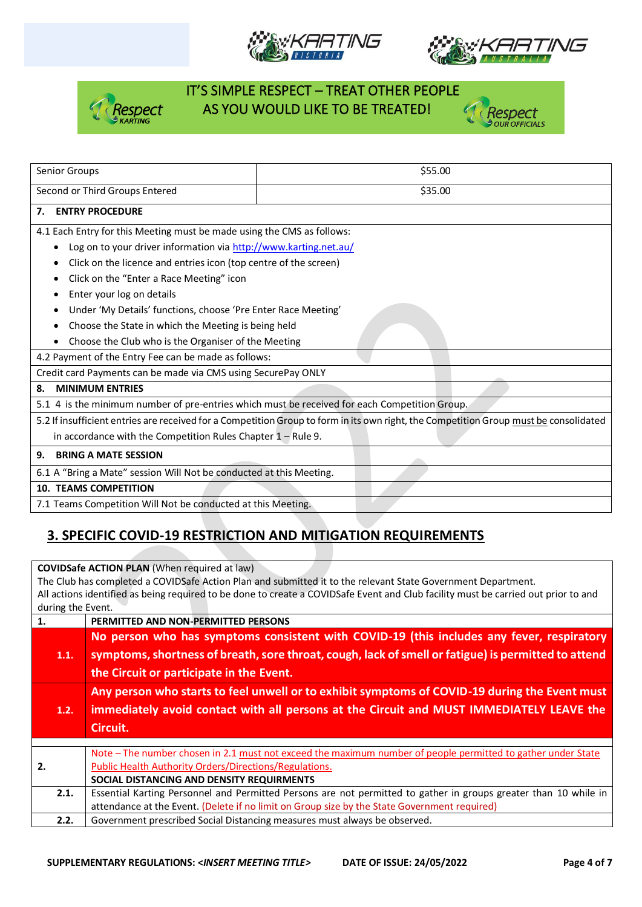







| Senior Groups                                                                                                                         | \$55.00 |  |  |  |  |
|---------------------------------------------------------------------------------------------------------------------------------------|---------|--|--|--|--|
| Second or Third Groups Entered                                                                                                        | \$35.00 |  |  |  |  |
| <b>ENTRY PROCEDURE</b><br>7.                                                                                                          |         |  |  |  |  |
| 4.1 Each Entry for this Meeting must be made using the CMS as follows:                                                                |         |  |  |  |  |
| Log on to your driver information via http://www.karting.net.au/<br>$\bullet$                                                         |         |  |  |  |  |
| Click on the licence and entries icon (top centre of the screen)                                                                      |         |  |  |  |  |
| Click on the "Enter a Race Meeting" icon                                                                                              |         |  |  |  |  |
| Enter your log on details                                                                                                             |         |  |  |  |  |
| Under 'My Details' functions, choose 'Pre Enter Race Meeting'                                                                         |         |  |  |  |  |
| Choose the State in which the Meeting is being held                                                                                   |         |  |  |  |  |
| Choose the Club who is the Organiser of the Meeting                                                                                   |         |  |  |  |  |
| 4.2 Payment of the Entry Fee can be made as follows:                                                                                  |         |  |  |  |  |
| Credit card Payments can be made via CMS using SecurePay ONLY                                                                         |         |  |  |  |  |
| <b>MINIMUM ENTRIES</b><br>8.                                                                                                          |         |  |  |  |  |
| 5.1 4 is the minimum number of pre-entries which must be received for each Competition Group.                                         |         |  |  |  |  |
| 5.2 If insufficient entries are received for a Competition Group to form in its own right, the Competition Group must be consolidated |         |  |  |  |  |
| in accordance with the Competition Rules Chapter $1 -$ Rule 9.                                                                        |         |  |  |  |  |
| <b>BRING A MATE SESSION</b><br>9.                                                                                                     |         |  |  |  |  |
| 6.1 A "Bring a Mate" session Will Not be conducted at this Meeting.                                                                   |         |  |  |  |  |
| <b>10. TEAMS COMPETITION</b>                                                                                                          |         |  |  |  |  |
| 7.1 Teams Competition Will Not be conducted at this Meeting.                                                                          |         |  |  |  |  |

## **3. SPECIFIC COVID-19 RESTRICTION AND MITIGATION REQUIREMENTS**

**COVIDSafe ACTION PLAN** (When required at law)

The Club has completed a COVIDSafe Action Plan and submitted it to the relevant State Government Department. All actions identified as being required to be done to create a COVIDSafe Event and Club facility must be carried out prior to and during the Event.

| 1.   | PERMITTED AND NON-PERMITTED PERSONS                                                                              |
|------|------------------------------------------------------------------------------------------------------------------|
|      | No person who has symptoms consistent with COVID-19 (this includes any fever, respiratory                        |
| 1.1. | symptoms, shortness of breath, sore throat, cough, lack of smell or fatigue) is permitted to attend              |
|      | the Circuit or participate in the Event.                                                                         |
|      | Any person who starts to feel unwell or to exhibit symptoms of COVID-19 during the Event must                    |
| 1.2. | immediately avoid contact with all persons at the Circuit and MUST IMMEDIATELY LEAVE the                         |
|      | Circuit.                                                                                                         |
|      |                                                                                                                  |
|      | Note – The number chosen in 2.1 must not exceed the maximum number of people permitted to gather under State     |
| 2.   | Public Health Authority Orders/Directions/Regulations.                                                           |
|      | SOCIAL DISTANCING AND DENSITY REQUIRMENTS                                                                        |
| 2.1. | Essential Karting Personnel and Permitted Persons are not permitted to gather in groups greater than 10 while in |
|      | attendance at the Event. (Delete if no limit on Group size by the State Government required)                     |
| 2.2. | Government prescribed Social Distancing measures must always be observed.                                        |
|      |                                                                                                                  |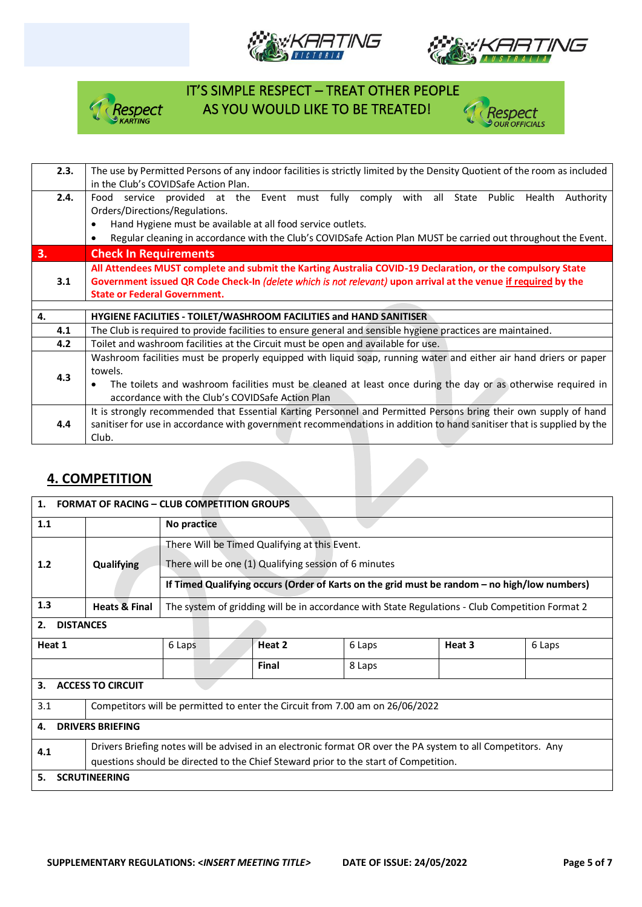







| 2.3. | The use by Permitted Persons of any indoor facilities is strictly limited by the Density Quotient of the room as included   |  |  |  |  |  |  |
|------|-----------------------------------------------------------------------------------------------------------------------------|--|--|--|--|--|--|
|      | in the Club's COVIDSafe Action Plan.                                                                                        |  |  |  |  |  |  |
| 2.4. | provided at the Event must fully comply with all<br>State Public<br>Health<br>Authority<br>Food<br>service                  |  |  |  |  |  |  |
|      | Orders/Directions/Regulations.                                                                                              |  |  |  |  |  |  |
|      | Hand Hygiene must be available at all food service outlets.                                                                 |  |  |  |  |  |  |
|      | Regular cleaning in accordance with the Club's COVIDSafe Action Plan MUST be carried out throughout the Event.<br>$\bullet$ |  |  |  |  |  |  |
| 3.   | <b>Check In Requirements</b>                                                                                                |  |  |  |  |  |  |
|      | All Attendees MUST complete and submit the Karting Australia COVID-19 Declaration, or the compulsory State                  |  |  |  |  |  |  |
| 3.1  | Government issued QR Code Check-In (delete which is not relevant) upon arrival at the venue if required by the              |  |  |  |  |  |  |
|      | <b>State or Federal Government.</b>                                                                                         |  |  |  |  |  |  |
|      |                                                                                                                             |  |  |  |  |  |  |
| 4.   | HYGIENE FACILITIES - TOILET/WASHROOM FACILITIES and HAND SANITISER                                                          |  |  |  |  |  |  |
| 4.1  | The Club is required to provide facilities to ensure general and sensible hygiene practices are maintained.                 |  |  |  |  |  |  |
| 4.2  | Toilet and washroom facilities at the Circuit must be open and available for use.                                           |  |  |  |  |  |  |
|      | Washroom facilities must be properly equipped with liquid soap, running water and either air hand driers or paper           |  |  |  |  |  |  |
|      | towels.                                                                                                                     |  |  |  |  |  |  |
| 4.3  | The toilets and washroom facilities must be cleaned at least once during the day or as otherwise required in                |  |  |  |  |  |  |
|      | accordance with the Club's COVIDSafe Action Plan                                                                            |  |  |  |  |  |  |
|      | It is strongly recommended that Essential Karting Personnel and Permitted Persons bring their own supply of hand            |  |  |  |  |  |  |
| 4.4  | sanitiser for use in accordance with government recommendations in addition to hand sanitiser that is supplied by the       |  |  |  |  |  |  |
|      | Club.                                                                                                                       |  |  |  |  |  |  |

### **4. COMPETITION**

| 1.<br><b>FORMAT OF RACING - CLUB COMPETITION GROUPS</b> |                                                                                                              |                                                                                              |                                                                                                 |                                                                                      |        |        |  |
|---------------------------------------------------------|--------------------------------------------------------------------------------------------------------------|----------------------------------------------------------------------------------------------|-------------------------------------------------------------------------------------------------|--------------------------------------------------------------------------------------|--------|--------|--|
| 1.1                                                     |                                                                                                              | No practice                                                                                  |                                                                                                 |                                                                                      |        |        |  |
|                                                         |                                                                                                              |                                                                                              | There Will be Timed Qualifying at this Event.                                                   |                                                                                      |        |        |  |
| 1.2                                                     | <b>Qualifying</b>                                                                                            | There will be one (1) Qualifying session of 6 minutes                                        |                                                                                                 |                                                                                      |        |        |  |
|                                                         |                                                                                                              | If Timed Qualifying occurs (Order of Karts on the grid must be random - no high/low numbers) |                                                                                                 |                                                                                      |        |        |  |
| 1.3                                                     | <b>Heats &amp; Final</b>                                                                                     |                                                                                              | The system of gridding will be in accordance with State Regulations - Club Competition Format 2 |                                                                                      |        |        |  |
| <b>DISTANCES</b><br>2.                                  |                                                                                                              |                                                                                              |                                                                                                 |                                                                                      |        |        |  |
| Heat 1                                                  |                                                                                                              | 6 Laps                                                                                       | Heat 2                                                                                          | 6 Laps                                                                               | Heat 3 | 6 Laps |  |
|                                                         |                                                                                                              |                                                                                              | <b>Final</b>                                                                                    | 8 Laps                                                                               |        |        |  |
| 3.<br><b>ACCESS TO CIRCUIT</b>                          |                                                                                                              |                                                                                              |                                                                                                 |                                                                                      |        |        |  |
| 3.1                                                     | Competitors will be permitted to enter the Circuit from 7.00 am on 26/06/2022                                |                                                                                              |                                                                                                 |                                                                                      |        |        |  |
| <b>DRIVERS BRIEFING</b><br>4.                           |                                                                                                              |                                                                                              |                                                                                                 |                                                                                      |        |        |  |
| 4.1                                                     | Drivers Briefing notes will be advised in an electronic format OR over the PA system to all Competitors. Any |                                                                                              |                                                                                                 |                                                                                      |        |        |  |
|                                                         |                                                                                                              |                                                                                              |                                                                                                 | questions should be directed to the Chief Steward prior to the start of Competition. |        |        |  |
| <b>SCRUTINEERING</b><br>5.                              |                                                                                                              |                                                                                              |                                                                                                 |                                                                                      |        |        |  |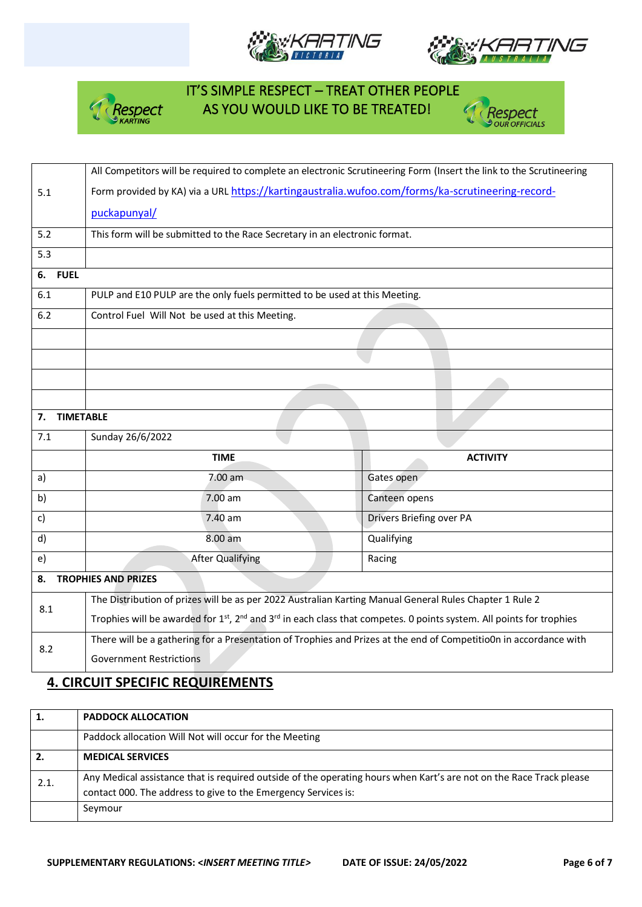







#### **4. CIRCUIT SPECIFIC REQUIREMENTS**

|      | <b>PADDOCK ALLOCATION</b>                                                                                           |
|------|---------------------------------------------------------------------------------------------------------------------|
|      | Paddock allocation Will Not will occur for the Meeting                                                              |
| 2.   | <b>MEDICAL SERVICES</b>                                                                                             |
| 2.1. | Any Medical assistance that is required outside of the operating hours when Kart's are not on the Race Track please |
|      | contact 000. The address to give to the Emergency Services is:                                                      |
|      | Seymour                                                                                                             |